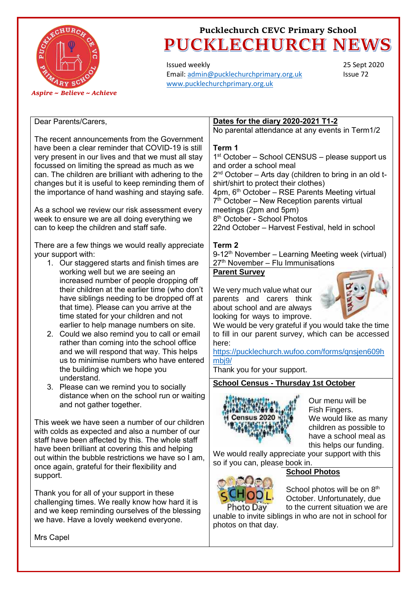

Issued weekly Email[: admin@pucklechurchprimary.org.uk](mailto:admin@pucklechurchprimary.org.uk) [www.pucklechurchprimary.org.uk](http://www.pucklechurchprimary.org.uk/)

25 Sept 2020 Issue 72

### Dear Parents/Carers,

The recent announcements from the Government have been a clear reminder that COVID-19 is still very present in our lives and that we must all stay focussed on limiting the spread as much as we can. The children are brilliant with adhering to the changes but it is useful to keep reminding them of the importance of hand washing and staying safe.

As a school we review our risk assessment every week to ensure we are all doing everything we can to keep the children and staff safe.

There are a few things we would really appreciate your support with:

- 1. Our staggered starts and finish times are working well but we are seeing an increased number of people dropping off their children at the earlier time (who don't have siblings needing to be dropped off at that time). Please can you arrive at the time stated for your children and not earlier to help manage numbers on site.
- 2. Could we also remind you to call or email rather than coming into the school office and we will respond that way. This helps us to minimise numbers who have entered the building which we hope you understand.
- 3. Please can we remind you to socially distance when on the school run or waiting and not gather together.

This week we have seen a number of our children with colds as expected and also a number of our staff have been affected by this. The whole staff have been brilliant at covering this and helping out within the bubble restrictions we have so I am, once again, grateful for their flexibility and support.

Thank you for all of your support in these challenging times. We really know how hard it is and we keep reminding ourselves of the blessing we have. Have a lovely weekend everyone.

**Dates for the diary 2020-2021 T1-2**

No parental attendance at any events in Term1/2

### **Term 1**

1 st October – School CENSUS – please support us and order a school meal 2<sup>nd</sup> October – Arts day (children to bring in an old tshirt/shirt to protect their clothes) 4pm, 6th October – RSE Parents Meeting virtual 7<sup>th</sup> October – New Reception parents virtual meetings (2pm and 5pm) 8 th October - School Photos 22nd October – Harvest Festival, held in school

### **Term 2**

 $9-12<sup>th</sup>$  November – Learning Meeting week (virtual) 27<sup>th</sup> November – Flu Immunisations

### **Parent Survey**

We very much value what our parents and carers think about school and are always looking for ways to improve.



We would be very grateful if you would take the time to fill in our parent survey, which can be accessed here:

[https://pucklechurch.wufoo.com/forms/qnsjen609h](https://pucklechurch.wufoo.com/forms/qnsjen609hmbj9/) mbi9/

Thank you for your support.

### **School Census - Thursday 1st October**



Our menu will be Fish Fingers. We would like as many children as possible to have a school meal as this helps our funding.

We would really appreciate your support with this so if you can, please book in. **School Photos**



School photos will be on 8<sup>th</sup> October. Unfortunately, due to the current situation we are

unable to invite siblings in who are not in school for photos on that day.

Mrs Capel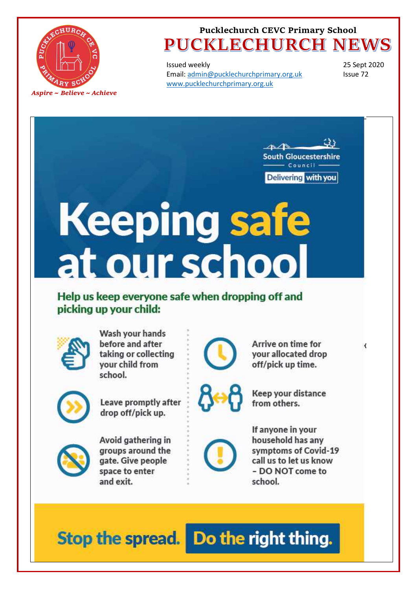

Issued weekly Email: admin@pucklechurchprimary.org.uk www.pucklechurchprimary.org.uk

25 Sept 2020 Issue 72

₹



Delivering with you

# **Keeping safe**<br>at our school

Help us keep everyone safe when dropping off and picking up your child:



Wash your hands before and after taking or collecting vour child from school.



Leave promptly after drop off/pick up.



your allocated drop off/pick up time.

Arrive on time for



Keep your distance from others.



Avoid gathering in groups around the gate. Give people space to enter and exit.



If anyone in your household has any symptoms of Covid-19 call us to let us know - DO NOT come to school.

Stop the spread. Do the right thing.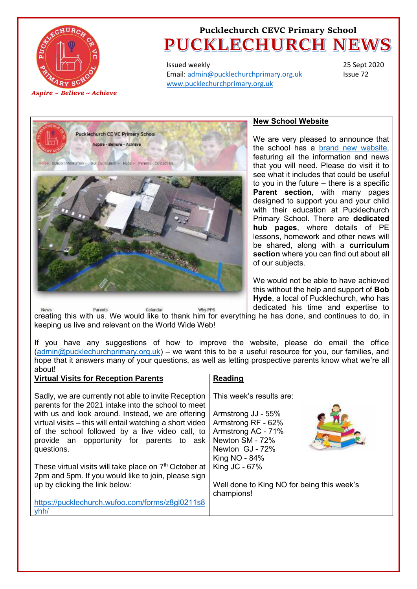

Issued weekly Email[: admin@pucklechurchprimary.org.uk](mailto:admin@pucklechurchprimary.org.uk) [www.pucklechurchprimary.org.uk](http://www.pucklechurchprimary.org.uk/)

25 Sept 2020 Issue 72



### **New School Website**

We are very pleased to announce that the school has a [brand new website,](http://www.pucklechurchprimary.org.uk/) featuring all the information and news that you will need. Please do visit it to see what it includes that could be useful to you in the future – there is a specific **Parent section**, with many pages designed to support you and your child with their education at Pucklechurch Primary School. There are **dedicated hub pages**, where details of PE lessons, homework and other news will be shared, along with a **curriculum section** where you can find out about all of our subjects.

We would not be able to have achieved this without the help and support of **Bob Hyde**, a local of Pucklechurch, who has dedicated his time and expertise to

**Extended in the standar and expertise to**<br>[creating this with us. We would like to thank him for everythi](http://www.pucklechurchprimary.org.uk)ng he has done, and continues to do, in Paronts keeping us live and relevant on the World Wide Web!

If you have any suggestions of how to improve the website, please do email the office [\(admin@pucklechurchprimary.org.uk\)](mailto:admin@pucklechurchprimary.org.uk) – we want this to be a useful resource for you, our families, and hope that it answers many of your questions, as well as letting prospective parents know what we're all about!

| This week's results are:<br>Armstrong JJ - 55%<br>Armstrong RF - 62%<br>Armstrong AC - 71%<br>Newton SM - 72%<br>Newton GJ - 72%<br>King NO - 84%<br>King JC - 67%<br>Well done to King NO for being this week's<br>champions! | <b>Virtual Visits for Reception Parents</b>                                                                                                                                                                                                                                                                                                                                                                                                                                                                                                                          | <b>Reading</b> |
|--------------------------------------------------------------------------------------------------------------------------------------------------------------------------------------------------------------------------------|----------------------------------------------------------------------------------------------------------------------------------------------------------------------------------------------------------------------------------------------------------------------------------------------------------------------------------------------------------------------------------------------------------------------------------------------------------------------------------------------------------------------------------------------------------------------|----------------|
|                                                                                                                                                                                                                                | Sadly, we are currently not able to invite Reception<br>parents for the 2021 intake into the school to meet<br>with us and look around. Instead, we are offering<br>virtual visits – this will entail watching a short video<br>of the school followed by a live video call, to<br>provide an opportunity for parents to ask<br>questions.<br>These virtual visits will take place on 7 <sup>th</sup> October at<br>2pm and 5pm. If you would like to join, please sign<br>up by clicking the link below:<br>https://pucklechurch.wufoo.com/forms/z8gl0211s8<br>yhh/ |                |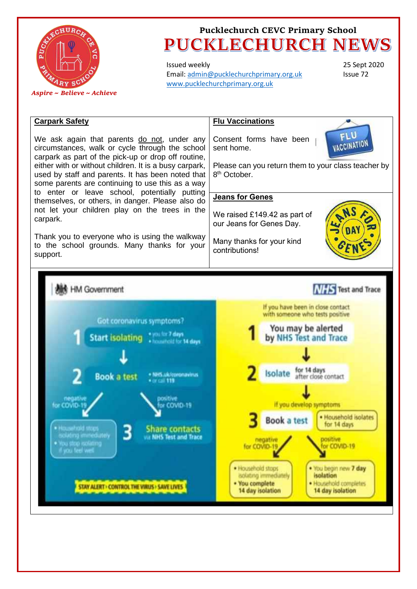

Issued weekly Email[: admin@pucklechurchprimary.org.uk](mailto:admin@pucklechurchprimary.org.uk) [www.pucklechurchprimary.org.uk](http://www.pucklechurchprimary.org.uk/)

25 Sept 2020 Issue 72

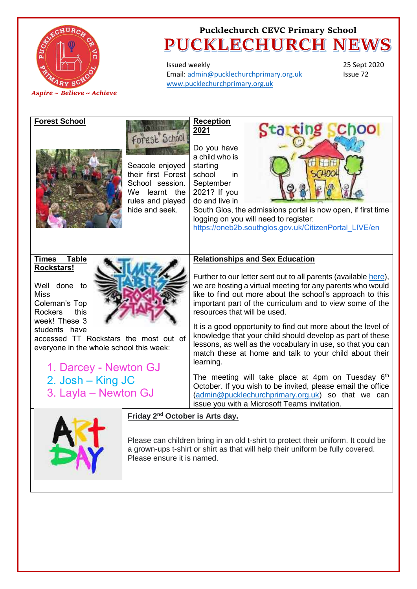

Issued weekly Email[: admin@pucklechurchprimary.org.uk](mailto:admin@pucklechurchprimary.org.uk) [www.pucklechurchprimary.org.uk](http://www.pucklechurchprimary.org.uk/)

25 Sept 2020 Issue 72